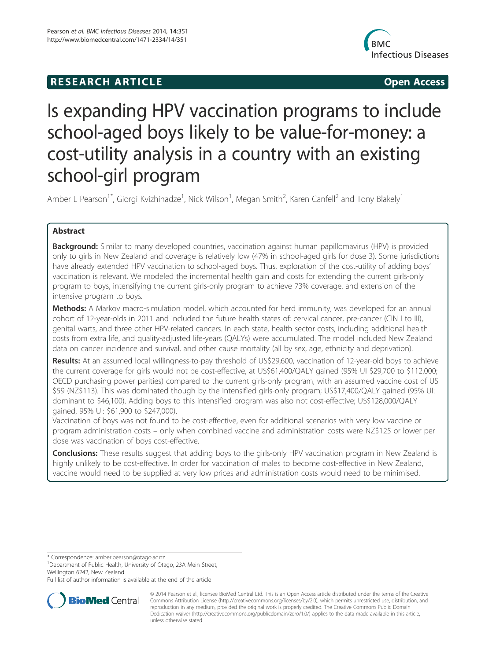## **RESEARCH ARTICLE Example 2014 CONSIDERING CONSIDERING CONSIDERING CONSIDERING CONSIDERING CONSIDERING CONSIDERING CONSIDERING CONSIDERING CONSIDERING CONSIDERING CONSIDERING CONSIDERING CONSIDERING CONSIDERING CONSIDE**



# Is expanding HPV vaccination programs to include school-aged boys likely to be value-for-money: a cost-utility analysis in a country with an existing school-girl program

Amber L Pearson<sup>1\*</sup>, Giorgi Kvizhinadze<sup>1</sup>, Nick Wilson<sup>1</sup>, Megan Smith<sup>2</sup>, Karen Canfell<sup>2</sup> and Tony Blakely<sup>1</sup>

## Abstract

Background: Similar to many developed countries, vaccination against human papillomavirus (HPV) is provided only to girls in New Zealand and coverage is relatively low (47% in school-aged girls for dose 3). Some jurisdictions have already extended HPV vaccination to school-aged boys. Thus, exploration of the cost-utility of adding boys' vaccination is relevant. We modeled the incremental health gain and costs for extending the current girls-only program to boys, intensifying the current girls-only program to achieve 73% coverage, and extension of the intensive program to boys.

Methods: A Markov macro-simulation model, which accounted for herd immunity, was developed for an annual cohort of 12-year-olds in 2011 and included the future health states of: cervical cancer, pre-cancer (CIN I to III), genital warts, and three other HPV-related cancers. In each state, health sector costs, including additional health costs from extra life, and quality-adjusted life-years (QALYs) were accumulated. The model included New Zealand data on cancer incidence and survival, and other cause mortality (all by sex, age, ethnicity and deprivation).

Results: At an assumed local willingness-to-pay threshold of US\$29,600, vaccination of 12-year-old boys to achieve the current coverage for girls would not be cost-effective, at US\$61,400/QALY gained (95% UI \$29,700 to \$112,000; OECD purchasing power parities) compared to the current girls-only program, with an assumed vaccine cost of US \$59 (NZ\$113). This was dominated though by the intensified girls-only program; US\$17,400/QALY gained (95% UI: dominant to \$46,100). Adding boys to this intensified program was also not cost-effective; US\$128,000/QALY gained, 95% UI: \$61,900 to \$247,000).

Vaccination of boys was not found to be cost-effective, even for additional scenarios with very low vaccine or program administration costs – only when combined vaccine and administration costs were NZ\$125 or lower per dose was vaccination of boys cost-effective.

Conclusions: These results suggest that adding boys to the girls-only HPV vaccination program in New Zealand is highly unlikely to be cost-effective. In order for vaccination of males to become cost-effective in New Zealand, vaccine would need to be supplied at very low prices and administration costs would need to be minimised.

\* Correspondence: amber.pearson@otago.ac.nz <sup>1</sup>

<sup>1</sup>Department of Public Health, University of Otago, 23A Mein Street, Wellington 6242, New Zealand

Full list of author information is available at the end of the article



© 2014 Pearson et al.; licensee BioMed Central Ltd. This is an Open Access article distributed under the terms of the Creative Commons Attribution License (http://creativecommons.org/licenses/by/2.0), which permits unrestricted use, distribution, and reproduction in any medium, provided the original work is properly credited. The Creative Commons Public Domain Dedication waiver (http://creativecommons.org/publicdomain/zero/1.0/) applies to the data made available in this article, unless otherwise stated.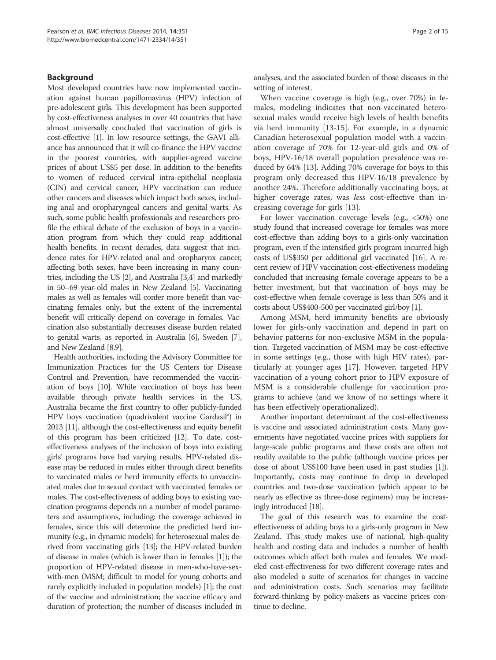## Background

Most developed countries have now implemented vaccination against human papillomavirus (HPV) infection of pre-adolescent girls. This development has been supported by cost-effectiveness analyses in over 40 countries that have almost universally concluded that vaccination of girls is cost-effective [1]. In low resource settings, the GAVI alliance has announced that it will co-finance the HPV vaccine in the poorest countries, with supplier-agreed vaccine prices of about US\$5 per dose. In addition to the benefits to women of reduced cervical intra-epithelial neoplasia (CIN) and cervical cancer, HPV vaccination can reduce other cancers and diseases which impact both sexes, including anal and oropharyngeal cancers and genital warts. As such, some public health professionals and researchers profile the ethical debate of the exclusion of boys in a vaccination program from which they could reap additional health benefits. In recent decades, data suggest that incidence rates for HPV-related anal and oropharynx cancer, affecting both sexes, have been increasing in many countries, including the US [2], and Australia [3,4] and markedly in 50–69 year-old males in New Zealand [5]. Vaccinating males as well as females will confer more benefit than vaccinating females only, but the extent of the incremental benefit will critically depend on coverage in females. Vaccination also substantially decreases disease burden related to genital warts, as reported in Australia [6], Sweden [7], and New Zealand [8,9].

Health authorities, including the Advisory Committee for Immunization Practices for the US Centers for Disease Control and Prevention, have recommended the vaccination of boys [10]. While vaccination of boys has been available through private health services in the US, Australia became the first country to offer publicly-funded HPV boys vaccination (quadrivalent vaccine Gardasil®) in 2013 [11], although the cost-effectiveness and equity benefit of this program has been criticized [12]. To date, costeffectiveness analyses of the inclusion of boys into existing girls' programs have had varying results. HPV-related disease may be reduced in males either through direct benefits to vaccinated males or herd immunity effects to unvaccinated males due to sexual contact with vaccinated females or males. The cost-effectiveness of adding boys to existing vaccination programs depends on a number of model parameters and assumptions, including: the coverage achieved in females, since this will determine the predicted herd immunity (e.g., in dynamic models) for heterosexual males derived from vaccinating girls [13]; the HPV-related burden of disease in males (which is lower than in females [1]); the proportion of HPV-related disease in men-who-have-sexwith-men (MSM; difficult to model for young cohorts and rarely explicitly included in population models) [1]; the cost of the vaccine and administration; the vaccine efficacy and duration of protection; the number of diseases included in analyses, and the associated burden of those diseases in the setting of interest.

When vaccine coverage is high (e.g., over 70%) in females, modeling indicates that non-vaccinated heterosexual males would receive high levels of health benefits via herd immunity [13-15]. For example, in a dynamic Canadian heterosexual population model with a vaccination coverage of 70% for 12-year-old girls and 0% of boys, HPV-16/18 overall population prevalence was reduced by 64% [13]. Adding 70% coverage for boys to this program only decreased this HPV-16/18 prevalence by another 24%. Therefore additionally vaccinating boys, at higher coverage rates, was *less* cost-effective than increasing coverage for girls [13].

For lower vaccination coverage levels (e.g., <50%) one study found that increased coverage for females was more cost-effective than adding boys to a girls-only vaccination program, even if the intensified girls program incurred high costs of US\$350 per additional girl vaccinated [16]. A recent review of HPV vaccination cost-effectiveness modeling concluded that increasing female coverage appears to be a better investment, but that vaccination of boys may be cost-effective when female coverage is less than 50% and it costs about US\$400-500 per vaccinated girl/boy [1].

Among MSM, herd immunity benefits are obviously lower for girls-only vaccination and depend in part on behavior patterns for non-exclusive MSM in the population. Targeted vaccination of MSM may be cost-effective in some settings (e.g., those with high HIV rates), particularly at younger ages [17]. However, targeted HPV vaccination of a young cohort prior to HPV exposure of MSM is a considerable challenge for vaccination programs to achieve (and we know of no settings where it has been effectively operationalized).

Another important determinant of the cost-effectiveness is vaccine and associated administration costs. Many governments have negotiated vaccine prices with suppliers for large-scale public programs and these costs are often not readily available to the public (although vaccine prices per dose of about US\$100 have been used in past studies [1]). Importantly, costs may continue to drop in developed countries and two-dose vaccination (which appear to be nearly as effective as three-dose regimens) may be increasingly introduced [18].

The goal of this research was to examine the costeffectiveness of adding boys to a girls-only program in New Zealand. This study makes use of national, high-quality health and costing data and includes a number of health outcomes which affect both males and females. We modeled cost-effectiveness for two different coverage rates and also modeled a suite of scenarios for changes in vaccine and administration costs. Such scenarios may facilitate forward-thinking by policy-makers as vaccine prices continue to decline.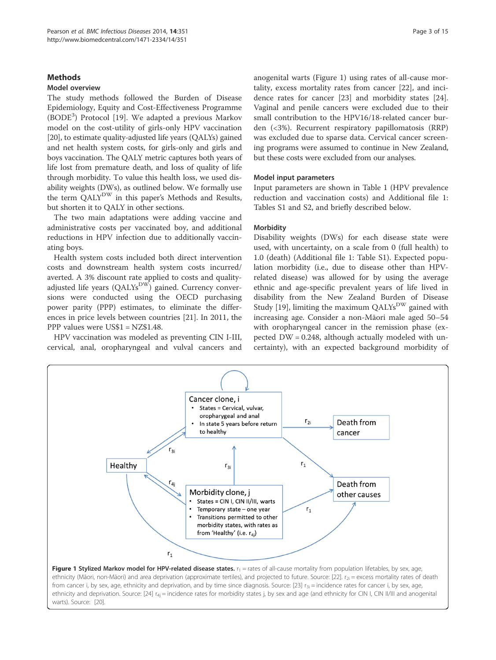## **Methods**

## Model overview

The study methods followed the Burden of Disease Epidemiology, Equity and Cost-Effectiveness Programme (BODE<sup>3</sup>) Protocol [19]. We adapted a previous Markov model on the cost-utility of girls-only HPV vaccination [20], to estimate quality-adjusted life years (QALYs) gained and net health system costs, for girls-only and girls and boys vaccination. The QALY metric captures both years of life lost from premature death, and loss of quality of life through morbidity. To value this health loss, we used disability weights (DWs), as outlined below. We formally use the term QALYDW in this paper's Methods and Results, but shorten it to QALY in other sections.

The two main adaptations were adding vaccine and administrative costs per vaccinated boy, and additional reductions in HPV infection due to additionally vaccinating boys.

Health system costs included both direct intervention costs and downstream health system costs incurred/ averted. A 3% discount rate applied to costs and qualityadjusted life years  $(QALYs<sup>DW</sup>)$  gained. Currency conversions were conducted using the OECD purchasing power parity (PPP) estimates, to eliminate the differences in price levels between countries [21]. In 2011, the PPP values were US\$1 = NZ\$1.48.

HPV vaccination was modeled as preventing CIN I-III, cervical, anal, oropharyngeal and vulval cancers and anogenital warts (Figure 1) using rates of all-cause mortality, excess mortality rates from cancer [22], and incidence rates for cancer [23] and morbidity states [24]. Vaginal and penile cancers were excluded due to their small contribution to the HPV16/18-related cancer burden (<3%). Recurrent respiratory papillomatosis (RRP) was excluded due to sparse data. Cervical cancer screening programs were assumed to continue in New Zealand, but these costs were excluded from our analyses.

#### Model input parameters

Input parameters are shown in Table 1 (HPV prevalence reduction and vaccination costs) and Additional file 1: Tables S1 and S2, and briefly described below.

## **Morbidity**

Disability weights (DWs) for each disease state were used, with uncertainty, on a scale from 0 (full health) to 1.0 (death) (Additional file 1: Table S1). Expected population morbidity (i.e., due to disease other than HPVrelated disease) was allowed for by using the average ethnic and age-specific prevalent years of life lived in disability from the New Zealand Burden of Disease Study [19], limiting the maximum  $\text{QALYs}^{\text{DW}}$  gained with increasing age. Consider a non-Māori male aged 50–54 with oropharyngeal cancer in the remission phase (expected DW = 0.248, although actually modeled with uncertainty), with an expected background morbidity of



from cancer i, by sex, age, ethnicity and deprivation, and by time since diagnosis. Source: [23]  $r_{3i}$  = incidence rates for cancer i, by sex, age, ethnicity and deprivation. Source: [24]  $r_{4j}$  = incidence rates for morbidity states j, by sex and age (and ethnicity for CIN I, CIN II/III and anogenital warts). Source: [20].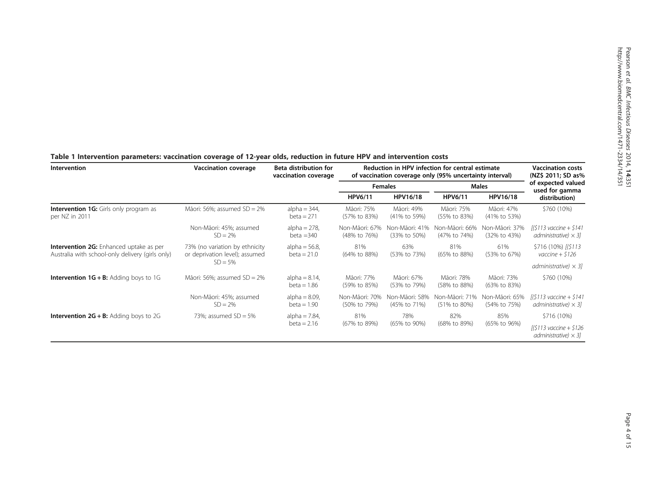| Intervention                                                                                       | <b>Vaccination coverage</b>                                                    | Beta distribution for<br>vaccination coverage | Reduction in HPV infection for central estimate<br>of vaccination coverage only (95% uncertainty interval) | <b>Vaccination costs</b><br>(NZ\$ 2011; SD as% |                                |                                |                                                        |
|----------------------------------------------------------------------------------------------------|--------------------------------------------------------------------------------|-----------------------------------------------|------------------------------------------------------------------------------------------------------------|------------------------------------------------|--------------------------------|--------------------------------|--------------------------------------------------------|
|                                                                                                    |                                                                                |                                               |                                                                                                            | <b>Females</b>                                 |                                | <b>Males</b>                   | of expected valued<br>used for gamma<br>distribution)  |
|                                                                                                    |                                                                                |                                               | <b>HPV6/11</b>                                                                                             | HPV16/18                                       | <b>HPV6/11</b>                 | HPV16/18                       |                                                        |
| <b>Intervention 1G:</b> Girls only program as<br>per NZ in 2011                                    | Māori: 56%; assumed $SD = 2\%$                                                 | alpha = $344$ ,<br>beta $= 271$               | Māori: 75%<br>(57% to 83%)                                                                                 | Māori: 49%<br>(41% to 59%)                     | Māori: 75%<br>(55% to 83%)     | Māori: 47%<br>(41% to 53%)     | \$760 (10%)                                            |
|                                                                                                    | Non-Māori: 45%; assumed<br>$SD = 2\%$                                          | $alpha = 278$ ,<br>$beta = 340$               | Non-Māori: 67%<br>(48% to 76%)                                                                             | Non-Māori: 41%<br>(33% to 50%)                 | Non-Māori: 66%<br>(47% to 74%) | Non-Māori: 37%<br>(32% to 43%) | [(\$113 vaccine + \$141<br>administrative) $\times$ 31 |
| <b>Intervention 2G:</b> Enhanced uptake as per<br>Australia with school-only delivery (girls only) | 73% (no variation by ethnicity<br>or deprivation level); assumed<br>$SD = 5\%$ | alpha = $56.8$ ,<br>$beta = 21.0$             | 81%<br>(64% to 88%)                                                                                        | 63%<br>(53% to 73%)                            | 81%<br>(65% to 88%)            | 61%<br>(53% to 67%)            | \$716 (10%) [(\$113<br>vaccine $+$ \$126               |
|                                                                                                    |                                                                                |                                               |                                                                                                            |                                                |                                |                                | administrative) $\times$ 31                            |
| <b>Intervention <math>1G + B</math>:</b> Adding boys to 1G                                         | Māori: 56%; assumed $SD = 2\%$                                                 | alpha = $8.14$ ,<br>$beta = 1.86$             | Māori: 77%<br>(59% to 85%)                                                                                 | Māori: 67%<br>(53% to 79%)                     | Māori: 78%<br>(58% to 88%)     | Māori: 73%<br>(63% to 83%)     | \$760 (10%)                                            |
|                                                                                                    | Non-Māori: 45%; assumed<br>$SD = 2\%$                                          | alpha = $8.09$ ,<br>$beta = 1.90$             | Non-Māori: 70%<br>(50% to 79%)                                                                             | Non-Māori: 58%<br>(45% to 71%)                 | Non-Māori: 71%<br>(51% to 80%) | Non-Māori: 65%<br>(54% to 75%) | [(\$113 vaccine + \$141<br>administrative) $\times$ 31 |
| <b>Intervention <math>2G + B</math>:</b> Adding boys to 2G                                         | 73%; assumed $SD = 5%$                                                         | alpha = $7.84$ ,<br>$beta = 2.16$             | 81%                                                                                                        | 78%                                            | 82%                            | 85%                            | \$716 (10%)                                            |
|                                                                                                    |                                                                                |                                               | (67% to 89%)                                                                                               | (65% to 90%)                                   | (68% to 89%)                   | (65% to 96%)                   | $[($113 vaccine + $126$<br>administrative) $\times$ 31 |

#### Table 1 Intervention parameters: vaccination coverage of 12-year olds, reduction in future HPV and intervention costs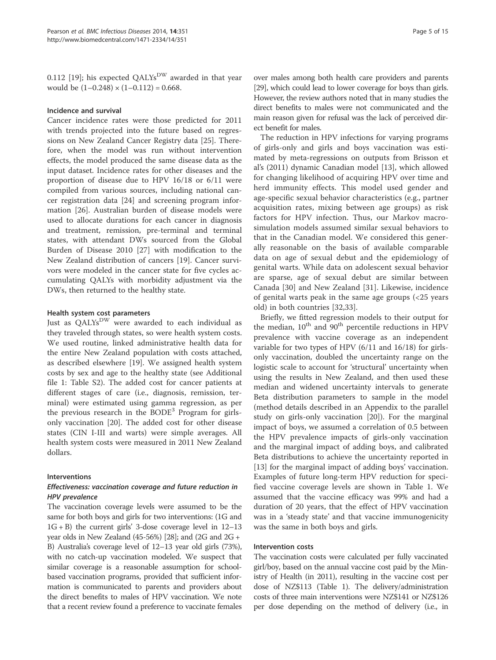0.112 [19]; his expected QALYs<sup>DW</sup> awarded in that year would be  $(1-0.248) \times (1-0.112) = 0.668$ .

## Incidence and survival

Cancer incidence rates were those predicted for 2011 with trends projected into the future based on regressions on New Zealand Cancer Registry data [25]. Therefore, when the model was run without intervention effects, the model produced the same disease data as the input dataset. Incidence rates for other diseases and the proportion of disease due to HPV 16/18 or 6/11 were compiled from various sources, including national cancer registration data [24] and screening program information [26]. Australian burden of disease models were used to allocate durations for each cancer in diagnosis and treatment, remission, pre-terminal and terminal states, with attendant DWs sourced from the Global Burden of Disease 2010 [27] with modification to the New Zealand distribution of cancers [19]. Cancer survivors were modeled in the cancer state for five cycles accumulating QALYs with morbidity adjustment via the DWs, then returned to the healthy state.

## Health system cost parameters

Just as QALYs<sup>DW</sup> were awarded to each individual as they traveled through states, so were health system costs. We used routine, linked administrative health data for the entire New Zealand population with costs attached, as described elsewhere [19]. We assigned health system costs by sex and age to the healthy state (see Additional file 1: Table S2). The added cost for cancer patients at different stages of care (i.e., diagnosis, remission, terminal) were estimated using gamma regression, as per the previous research in the BODE<sup>3</sup> Program for girlsonly vaccination [20]. The added cost for other disease states (CIN I-III and warts) were simple averages. All health system costs were measured in 2011 New Zealand dollars.

#### Interventions

## Effectiveness: vaccination coverage and future reduction in HPV prevalence

The vaccination coverage levels were assumed to be the same for both boys and girls for two interventions: (1G and 1G + B) the current girls' 3-dose coverage level in 12–13 year olds in New Zealand (45-56%) [28]; and (2G and 2G + B) Australia's coverage level of 12–13 year old girls (73%), with no catch-up vaccination modeled. We suspect that similar coverage is a reasonable assumption for schoolbased vaccination programs, provided that sufficient information is communicated to parents and providers about the direct benefits to males of HPV vaccination. We note that a recent review found a preference to vaccinate females

over males among both health care providers and parents [29], which could lead to lower coverage for boys than girls. However, the review authors noted that in many studies the direct benefits to males were not communicated and the main reason given for refusal was the lack of perceived direct benefit for males.

The reduction in HPV infections for varying programs of girls-only and girls and boys vaccination was estimated by meta-regressions on outputs from Brisson et al's (2011) dynamic Canadian model [13], which allowed for changing likelihood of acquiring HPV over time and herd immunity effects. This model used gender and age-specific sexual behavior characteristics (e.g., partner acquisition rates, mixing between age groups) as risk factors for HPV infection. Thus, our Markov macrosimulation models assumed similar sexual behaviors to that in the Canadian model. We considered this generally reasonable on the basis of available comparable data on age of sexual debut and the epidemiology of genital warts. While data on adolescent sexual behavior are sparse, age of sexual debut are similar between Canada [30] and New Zealand [31]. Likewise, incidence of genital warts peak in the same age groups (<25 years old) in both countries [32,33].

Briefly, we fitted regression models to their output for the median,  $10^{th}$  and  $90^{th}$  percentile reductions in HPV prevalence with vaccine coverage as an independent variable for two types of HPV (6/11 and 16/18) for girlsonly vaccination, doubled the uncertainty range on the logistic scale to account for 'structural' uncertainty when using the results in New Zealand, and then used these median and widened uncertainty intervals to generate Beta distribution parameters to sample in the model (method details described in an Appendix to the parallel study on girls-only vaccination [20]). For the marginal impact of boys, we assumed a correlation of 0.5 between the HPV prevalence impacts of girls-only vaccination and the marginal impact of adding boys, and calibrated Beta distributions to achieve the uncertainty reported in [13] for the marginal impact of adding boys' vaccination. Examples of future long-term HPV reduction for specified vaccine coverage levels are shown in Table 1. We assumed that the vaccine efficacy was 99% and had a duration of 20 years, that the effect of HPV vaccination was in a 'steady state' and that vaccine immunogenicity was the same in both boys and girls.

## Intervention costs

The vaccination costs were calculated per fully vaccinated girl/boy, based on the annual vaccine cost paid by the Ministry of Health (in 2011), resulting in the vaccine cost per dose of NZ\$113 (Table 1). The delivery/administration costs of three main interventions were NZ\$141 or NZ\$126 per dose depending on the method of delivery (i.e., in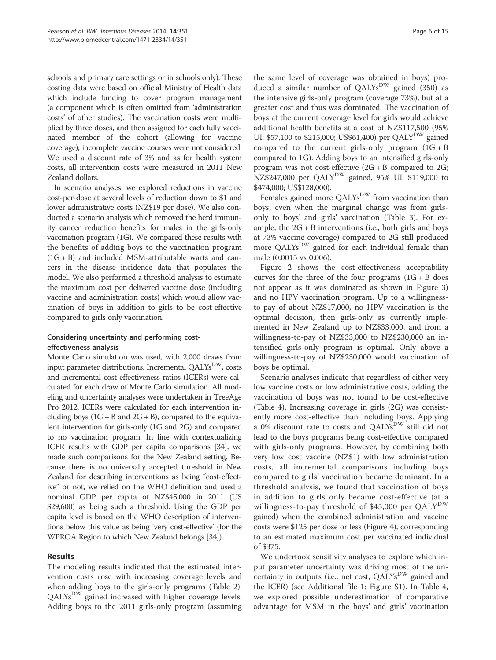schools and primary care settings or in schools only). These costing data were based on official Ministry of Health data which include funding to cover program management (a component which is often omitted from 'administration costs' of other studies). The vaccination costs were multiplied by three doses, and then assigned for each fully vaccinated member of the cohort (allowing for vaccine coverage); incomplete vaccine courses were not considered. We used a discount rate of 3% and as for health system costs, all intervention costs were measured in 2011 New Zealand dollars.

In scenario analyses, we explored reductions in vaccine cost-per-dose at several levels of reduction down to \$1 and lower administrative costs (NZ\$19 per dose). We also conducted a scenario analysis which removed the herd immunity cancer reduction benefits for males in the girls-only vaccination program (1G). We compared these results with the benefits of adding boys to the vaccination program  $(1G + B)$  and included MSM-attributable warts and cancers in the disease incidence data that populates the model. We also performed a threshold analysis to estimate the maximum cost per delivered vaccine dose (including vaccine and administration costs) which would allow vaccination of boys in addition to girls to be cost-effective compared to girls only vaccination.

## Considering uncertainty and performing costeffectiveness analysis

Monte Carlo simulation was used, with 2,000 draws from input parameter distributions. Incremental  $OALYs<sup>DW</sup>$ , costs and incremental cost-effectiveness ratios (ICERs) were calculated for each draw of Monte Carlo simulation. All modeling and uncertainty analyses were undertaken in TreeAge Pro 2012. ICERs were calculated for each intervention including boys  $(1G + B \text{ and } 2G + B)$ , compared to the equivalent intervention for girls-only (1G and 2G) and compared to no vaccination program. In line with contextualizing ICER results with GDP per capita comparisons [34], we made such comparisons for the New Zealand setting. Because there is no universally accepted threshold in New Zealand for describing interventions as being "cost-effective" or not, we relied on the WHO definition and used a nominal GDP per capita of NZ\$45,000 in 2011 (US \$29,600) as being such a threshold. Using the GDP per capita level is based on the WHO description of interventions below this value as being 'very cost-effective' (for the WPROA Region to which New Zealand belongs [34]).

## Results

The modeling results indicated that the estimated intervention costs rose with increasing coverage levels and when adding boys to the girls-only programs (Table 2). QALYs<sup>DW</sup> gained increased with higher coverage levels. Adding boys to the 2011 girls-only program (assuming

the same level of coverage was obtained in boys) produced a similar number of  $QALYs^{DW}$  gained (350) as the intensive girls-only program (coverage 73%), but at a greater cost and thus was dominated. The vaccination of boys at the current coverage level for girls would achieve additional health benefits at a cost of NZ\$117,500 (95% UI: \$57,100 to \$215,000; US\$61,400) per QALY<sup>DW</sup> gained compared to the current girls-only program  $(1G + B)$ compared to 1G). Adding boys to an intensified girls-only program was not cost-effective (2G + B compared to 2G; NZ\$247,000 per QALY<sup>DW</sup> gained, 95% UI: \$119,000 to \$474,000; US\$128,000).

Females gained more OALYs<sup>DW</sup> from vaccination than boys, even when the marginal change was from girlsonly to boys' and girls' vaccination (Table 3). For example, the  $2G + B$  interventions (i.e., both girls and boys at 73% vaccine coverage) compared to 2G still produced more QALYs<sup>DW</sup> gained for each individual female than male (0.0015 vs 0.006).

Figure 2 shows the cost-effectiveness acceptability curves for the three of the four programs  $(1G + B$  does not appear as it was dominated as shown in Figure 3) and no HPV vaccination program. Up to a willingnessto-pay of about NZ\$17,000, no HPV vaccination is the optimal decision, then girls-only as currently implemented in New Zealand up to NZ\$33,000, and from a willingness-to-pay of NZ\$33,000 to NZ\$230,000 an intensified girls-only program is optimal. Only above a willingness-to-pay of NZ\$230,000 would vaccination of boys be optimal.

Scenario analyses indicate that regardless of either very low vaccine costs or low administrative costs, adding the vaccination of boys was not found to be cost-effective (Table 4). Increasing coverage in girls (2G) was consistently more cost-effective than including boys. Applying a 0% discount rate to costs and QALYs<sup>DW</sup> still did not lead to the boys programs being cost-effective compared with girls-only programs. However, by combining both very low cost vaccine (NZ\$1) with low administration costs, all incremental comparisons including boys compared to girls' vaccination became dominant. In a threshold analysis, we found that vaccination of boys in addition to girls only became cost-effective (at a willingness-to-pay threshold of \$45,000 per QALY<sup>DW</sup> gained) when the combined administration and vaccine costs were \$125 per dose or less (Figure 4), corresponding to an estimated maximum cost per vaccinated individual of \$375.

We undertook sensitivity analyses to explore which input parameter uncertainty was driving most of the uncertainty in outputs (i.e., net cost, QALYs<sup>DW</sup> gained and the ICER) (see Additional file 1: Figure S1). In Table 4, we explored possible underestimation of comparative advantage for MSM in the boys' and girls' vaccination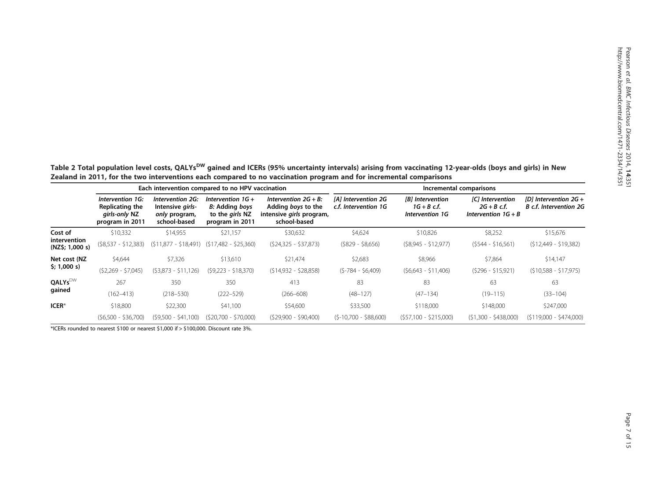Table 2 Total population level costs, QALYs<sup>DW</sup> gained and ICERs (95% uncertainty intervals) arising from vaccinating 12-year-olds (boys and girls) in New Zealand in 2011, for the two interventions each compared to no vaccination program and for incremental comparisons

|                                 |                                                                         | Each intervention compared to no HPV vaccination                      |                                                                             |                                                                                           | Incremental comparisons                     |                                                            |                                                                   |                                                   |  |  |
|---------------------------------|-------------------------------------------------------------------------|-----------------------------------------------------------------------|-----------------------------------------------------------------------------|-------------------------------------------------------------------------------------------|---------------------------------------------|------------------------------------------------------------|-------------------------------------------------------------------|---------------------------------------------------|--|--|
|                                 | Intervention 1G:<br>Replicating the<br>girls-only NZ<br>program in 2011 | Intervention 2G:<br>Intensive girls-<br>only program,<br>school-based | Intervention $1G +$<br>B: Adding boys<br>to the girls NZ<br>program in 2011 | Intervention $2G + B$ :<br>Adding boys to the<br>intensive girls program,<br>school-based | [A] Intervention 2G<br>c.f. Intervention 1G | <b>Bl</b> Intervention<br>$1G + B$ c.f.<br>Intervention 1G | <b>[C]</b> Intervention<br>$2G + B$ c.f.<br>Intervention $1G + B$ | [D] Intervention $2G +$<br>B c.f. Intervention 2G |  |  |
| Cost of                         | \$10,332                                                                | \$14,955                                                              | \$21,157                                                                    | \$30,632                                                                                  | \$4,624                                     | \$10,826                                                   | \$8,252                                                           | \$15,676                                          |  |  |
| intervention<br>(NZ\$; 1,000 s) | $(S8,537 - S12,383)$                                                    | $(511,877 - 518,491)$                                                 | $(517,482 - 525,360)$                                                       | $(524,325 - 537,873)$                                                                     | $($ \$829 - \$8,656)                        | $(S8,945 - S12,977)$                                       | $(5544 - 516,561)$                                                | $(512,449 - 519,382)$                             |  |  |
| Net cost (NZ                    | \$4,644                                                                 | \$7,326                                                               | \$13,610                                                                    | \$21.474                                                                                  | \$2,683                                     | \$8,966                                                    | \$7,864                                                           | \$14,147                                          |  |  |
| \$; 1,000 s)                    | $(S2,269 - $7,045)$                                                     | $(53,873 - 511,126)$                                                  | $(S9,223 - $18,370)$                                                        | $(514,932 - 528,858)$                                                                     | $(S-784 - S6,409)$                          | $(56,643 - 511,406)$                                       | $(5296 - 515,921)$                                                | $(510,588 - 517,975)$                             |  |  |
| <b>QALYs</b> <sup>DW</sup>      | 267                                                                     | 350                                                                   | 350                                                                         | 413                                                                                       | 83                                          | 83                                                         | 63                                                                | 63                                                |  |  |
| gained                          | $(162 - 413)$                                                           | $(218 - 530)$                                                         | $(222 - 529)$                                                               | $(266 - 608)$                                                                             | $(48 - 127)$                                | $(47-134)$                                                 | $(19 - 115)$                                                      | $(33-104)$                                        |  |  |
| ICER*                           | \$18,800                                                                | \$22,300                                                              | \$41,100                                                                    | \$54,600                                                                                  | \$33,500                                    | \$118,000                                                  | \$148,000                                                         | \$247,000                                         |  |  |
|                                 | $(56,500 - 536,700)$                                                    | $(59.500 - 541.100)$                                                  | $(S20.700 - S70.000)$                                                       | $(S29.900 - S90.400)$                                                                     | $(S-10.700 - $88.600)$                      | (\$57.100 - \$215.000)                                     | $(51.300 - 5438.000)$                                             | $(5119.000 - 5474.000)$                           |  |  |

\*ICERs rounded to nearest \$100 or nearest \$1,000 if > \$100,000. Discount rate 3%.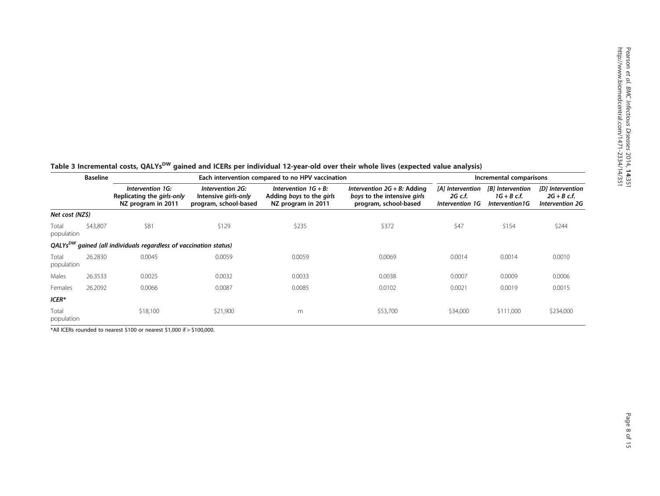|                     | <b>Baseline</b> |                                                                               | Each intervention compared to no HPV vaccination                  | Incremental comparisons                                                   |                                                                                        |                                                |                                                      |                                                             |
|---------------------|-----------------|-------------------------------------------------------------------------------|-------------------------------------------------------------------|---------------------------------------------------------------------------|----------------------------------------------------------------------------------------|------------------------------------------------|------------------------------------------------------|-------------------------------------------------------------|
|                     |                 | Intervention 1G:<br>Replicating the girls-only<br>NZ program in 2011          | Intervention 2G:<br>Intensive girls-only<br>program, school-based | Intervention $1G + B$ :<br>Adding boys to the girls<br>NZ program in 2011 | Intervention $2G + B$ : Adding<br>boys to the intensive girls<br>program, school-based | [A] Intervention<br>2G c.f.<br>Intervention 1G | [B] Intervention<br>$1G + B$ c.f.<br>Intervention 1G | [D] Intervention<br>$2G + B$ c.f.<br><b>Intervention 2G</b> |
| Net cost (NZ\$)     |                 |                                                                               |                                                                   |                                                                           |                                                                                        |                                                |                                                      |                                                             |
| Total<br>population | \$43,807        | \$81                                                                          | \$129                                                             | \$235                                                                     | \$372                                                                                  | \$47                                           | \$154                                                | \$244                                                       |
|                     |                 | QALYs <sup>DW</sup> gained (all individuals regardless of vaccination status) |                                                                   |                                                                           |                                                                                        |                                                |                                                      |                                                             |
| Total<br>population | 26.2830         | 0.0045                                                                        | 0.0059                                                            | 0.0059                                                                    | 0.0069                                                                                 | 0.0014                                         | 0.0014                                               | 0.0010                                                      |
| Males               | 26.3533         | 0.0025                                                                        | 0.0032                                                            | 0.0033                                                                    | 0.0038                                                                                 | 0.0007                                         | 0.0009                                               | 0.0006                                                      |
| Females             | 26.2092         | 0.0066                                                                        | 0.0087                                                            | 0.0085                                                                    | 0.0102                                                                                 | 0.0021                                         | 0.0019                                               | 0.0015                                                      |
| $ICER*$             |                 |                                                                               |                                                                   |                                                                           |                                                                                        |                                                |                                                      |                                                             |
| Total<br>population |                 | \$18,100                                                                      | \$21,900                                                          | m                                                                         | \$53,700                                                                               | \$34,000                                       | \$111,000                                            | \$234,000                                                   |

| Table 3 Incremental costs, QALYs <sup>DW</sup> gained and ICERs per individual 12-year-old over their whole lives (expected value analysis) |  |  |  |  |  |  |
|---------------------------------------------------------------------------------------------------------------------------------------------|--|--|--|--|--|--|
|---------------------------------------------------------------------------------------------------------------------------------------------|--|--|--|--|--|--|

\*All ICERs rounded to nearest \$100 or nearest \$1,000 if > \$100,000.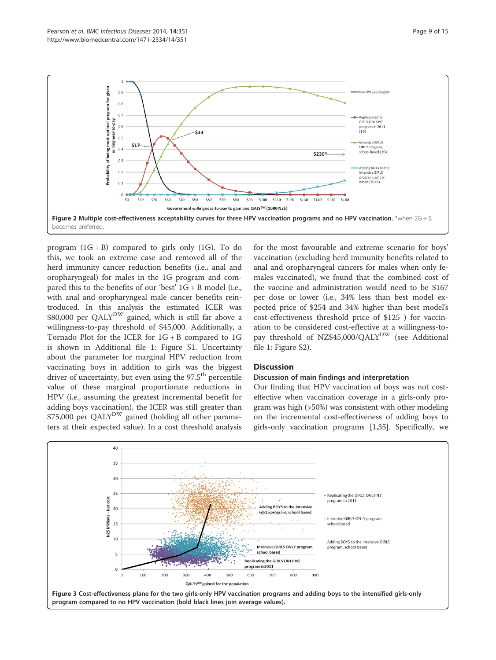

program  $(1G + B)$  compared to girls only  $(1G)$ . To do this, we took an extreme case and removed all of the herd immunity cancer reduction benefits (i.e., anal and oropharyngeal) for males in the 1G program and compared this to the benefits of our 'best'  $1G + B$  model (i.e., with anal and oropharyngeal male cancer benefits reintroduced. In this analysis the estimated ICER was \$80,000 per QALY<sup>DW</sup> gained, which is still far above a willingness-to-pay threshold of \$45,000. Additionally, a Tornado Plot for the ICER for 1G + B compared to 1G is shown in Additional file 1: Figure S1. Uncertainty about the parameter for marginal HPV reduction from vaccinating boys in addition to girls was the biggest driver of uncertainty, but even using the  $97.5<sup>th</sup>$  percentile value of these marginal proportionate reductions in HPV (i.e., assuming the greatest incremental benefit for adding boys vaccination), the ICER was still greater than \$75,000 per QALY<sup>DW</sup> gained (holding all other parameters at their expected value). In a cost threshold analysis for the most favourable and extreme scenario for boys' vaccination (excluding herd immunity benefits related to anal and oropharyngeal cancers for males when only females vaccinated), we found that the combined cost of the vaccine and administration would need to be \$167 per dose or lower (i.e., 34% less than best model expected price of \$254 and 34% higher than best model's cost-effectiveness threshold price of \$125 ) for vaccination to be considered cost-effective at a willingness-topay threshold of NZ\$45,000/QALY<sup>DW</sup> (see Additional file 1: Figure S2).

## **Discussion**

## Discussion of main findings and interpretation

Our finding that HPV vaccination of boys was not costeffective when vaccination coverage in a girls-only program was high (>50%) was consistent with other modeling on the incremental cost-effectiveness of adding boys to girls-only vaccination programs [1,35]. Specifically, we

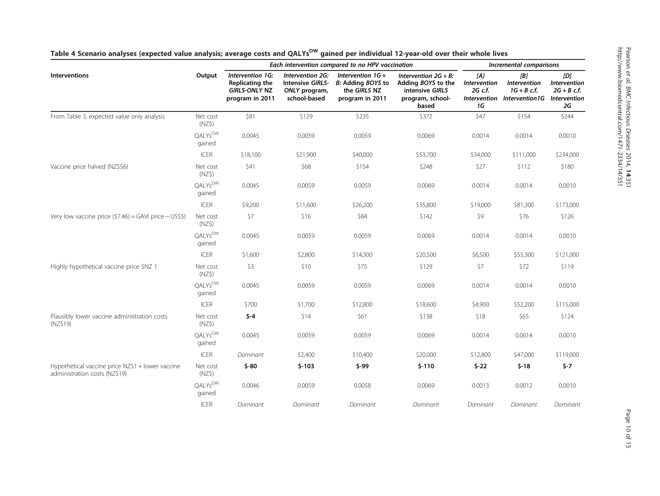|                                                                                   |                               | Each intervention compared to no HPV vaccination                               |                                                                       |                                                                             |                                                                                               | Incremental comparisons              |                                                                                         |                                                   |
|-----------------------------------------------------------------------------------|-------------------------------|--------------------------------------------------------------------------------|-----------------------------------------------------------------------|-----------------------------------------------------------------------------|-----------------------------------------------------------------------------------------------|--------------------------------------|-----------------------------------------------------------------------------------------|---------------------------------------------------|
| <b>Interventions</b>                                                              | Output                        | Intervention 1G:<br>Replicating the<br><b>GIRLS-ONLY NZ</b><br>program in 2011 | Intervention 2G:<br>Intensive GIRLS-<br>ONLY program,<br>school-based | Intervention $1G +$<br>B: Adding BOYS to<br>the GIRLS NZ<br>program in 2011 | Intervention $2G + B$ :<br>Adding BOYS to the<br>intensive GIRLS<br>program, school-<br>based | [A]<br>Intervention<br>2G c.f.<br>1G | [B]<br><b>Intervention</b><br>$1G + B$ c.f.<br>Intervention Intervention1G Intervention | [D]<br><b>Intervention</b><br>$2G + B$ c.f.<br>2G |
| From Table 3, expected value only analysis                                        | Net cost<br>$(NZ\$            | \$81                                                                           | \$129                                                                 | \$235                                                                       | \$372                                                                                         | \$47                                 | \$154                                                                                   | \$244                                             |
|                                                                                   | QALYs <sup>DW</sup><br>gained | 0.0045                                                                         | 0.0059                                                                | 0.0059                                                                      | 0.0069                                                                                        | 0.0014                               | 0.0014                                                                                  | 0.0010                                            |
|                                                                                   | <b>ICER</b>                   | \$18,100                                                                       | \$21,900                                                              | \$40,000                                                                    | \$53,700                                                                                      | \$34,000                             | \$111,000                                                                               | \$234,000                                         |
| Vaccine price halved (NZ\$56)                                                     | Net cost<br>(NZ\$)            | \$41                                                                           | \$68                                                                  | \$154                                                                       | \$248                                                                                         | \$27                                 | \$112                                                                                   | \$180                                             |
|                                                                                   | QALYs <sup>DW</sup><br>gained | 0.0045                                                                         | 0.0059                                                                | 0.0059                                                                      | 0.0069                                                                                        | 0.0014                               | 0.0014                                                                                  | 0.0010                                            |
|                                                                                   | <b>ICER</b>                   | \$9,200                                                                        | \$11,600                                                              | \$26,200                                                                    | \$35,800                                                                                      | \$19,000                             | \$81,300                                                                                | \$173,000                                         |
| Very low vaccine price $(57.46)$ = GAVI price ~ US\$5)                            | Net cost<br>$(NZ\$            | \$7                                                                            | \$16                                                                  | \$84                                                                        | \$142                                                                                         | \$9                                  | \$76                                                                                    | \$126                                             |
|                                                                                   | QALYs <sup>DW</sup><br>gained | 0.0045                                                                         | 0.0059                                                                | 0.0059                                                                      | 0.0069                                                                                        | 0.0014                               | 0.0014                                                                                  | 0.0010                                            |
|                                                                                   | <b>ICER</b>                   | \$1,600                                                                        | \$2,800                                                               | \$14,300                                                                    | \$20,500                                                                                      | \$6,500                              | \$55,300                                                                                | \$121,000                                         |
| Highly hypothetical vaccine price \$NZ 1                                          | Net cost<br>(NZ\$)            | \$3                                                                            | \$10                                                                  | \$75                                                                        | \$129                                                                                         | \$7                                  | \$72                                                                                    | \$119                                             |
|                                                                                   | OALYs <sup>DW</sup><br>gained | 0.0045                                                                         | 0.0059                                                                | 0.0059                                                                      | 0.0069                                                                                        | 0.0014                               | 0.0014                                                                                  | 0.0010                                            |
|                                                                                   | <b>ICER</b>                   | \$700                                                                          | \$1,700                                                               | \$12,800                                                                    | \$18,600                                                                                      | \$4,900                              | \$52,200                                                                                | \$115,000                                         |
| Plausibly lower vaccine administration costs<br>(NZ\$19)                          | Net cost<br>$(NZ\$            | $$ -4$                                                                         | \$14                                                                  | \$61                                                                        | \$138                                                                                         | \$18                                 | \$65                                                                                    | \$124                                             |
|                                                                                   | QALYs <sup>DW</sup><br>gained | 0.0045                                                                         | 0.0059                                                                | 0.0059                                                                      | 0.0069                                                                                        | 0.0014                               | 0.0014                                                                                  | 0.0010                                            |
|                                                                                   | <b>ICER</b>                   | Dominant                                                                       | \$2,400                                                               | \$10,400                                                                    | \$20,000                                                                                      | \$12,800                             | \$47,000                                                                                | \$119,000                                         |
| Hypothetical vaccine price NZ\$1 + lower vaccine<br>administration costs (NZ\$19) | Net cost<br>$(NZ\$            | $$ -80$                                                                        | $$-103$                                                               | $$ -99$                                                                     | $$-110$                                                                                       | $$-22$                               | $$-18$                                                                                  | $$ -7$                                            |
|                                                                                   | QALYs <sup>DW</sup><br>gained | 0.0046                                                                         | 0.0059                                                                | 0.0058                                                                      | 0.0069                                                                                        | 0.0013                               | 0.0012                                                                                  | 0.0010                                            |
|                                                                                   | <b>ICER</b>                   | Dominant                                                                       | Dominant                                                              | Dominant                                                                    | Dominant                                                                                      | Dominant                             | Dominant                                                                                | Dominant                                          |

|  | Table 4 Scenario analyses (expected value analysis; average costs and QALYs <sup>DW</sup> gained per individual 12-year-old over their whole lives |
|--|----------------------------------------------------------------------------------------------------------------------------------------------------|
|--|----------------------------------------------------------------------------------------------------------------------------------------------------|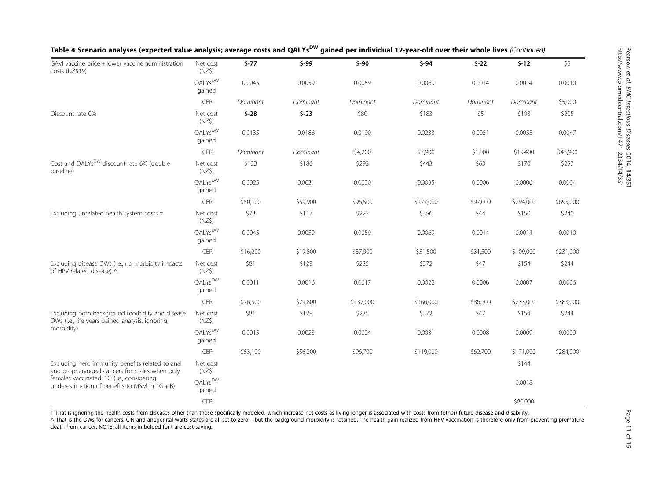| GAVI vaccine price + lower vaccine administration                                                  | Net cost                      | $$-77$   | $$ -99$  | $$ -90$   | $$ -94$   | $$ -22$  | $$-12$    | \$5       |
|----------------------------------------------------------------------------------------------------|-------------------------------|----------|----------|-----------|-----------|----------|-----------|-----------|
| costs (NZ\$19)                                                                                     | (NZ\$)                        |          |          |           |           |          |           |           |
|                                                                                                    | QALYs <sup>DW</sup><br>gained | 0.0045   | 0.0059   | 0.0059    | 0.0069    | 0.0014   | 0.0014    | 0.0010    |
|                                                                                                    | ICER                          | Dominant | Dominant | Dominant  | Dominant  | Dominant | Dominant  | \$5,000   |
| Discount rate 0%                                                                                   | Net cost<br>(NZ\$)            | $$ -28$  | $$-23$   | \$80      | \$183     | \$5      | \$108     | \$205     |
|                                                                                                    | QALYs <sup>DW</sup><br>gained | 0.0135   | 0.0186   | 0.0190    | 0.0233    | 0.0051   | 0.0055    | 0.0047    |
|                                                                                                    | ICER                          | Dominant | Dominant | \$4,200   | \$7,900   | \$1,000  | \$19,400  | \$43,900  |
| Cost and QALYs <sup>DW</sup> discount rate 6% (double<br>baseline)                                 | Net cost<br>(NZ\$)            | \$123    | \$186    | \$293     | \$443     | \$63     | \$170     | \$257     |
|                                                                                                    | QALYs <sup>DW</sup><br>gained | 0.0025   | 0.0031   | 0.0030    | 0.0035    | 0.0006   | 0.0006    | 0.0004    |
|                                                                                                    | <b>ICER</b>                   | \$50,100 | \$59,900 | \$96,500  | \$127,000 | \$97,000 | \$294,000 | \$695,000 |
| Excluding unrelated health system costs +                                                          | Net cost<br>(NZ\$)            | \$73     | \$117    | \$222     | \$356     | \$44     | \$150     | \$240     |
|                                                                                                    | QALYsDW<br>gained             | 0.0045   | 0.0059   | 0.0059    | 0.0069    | 0.0014   | 0.0014    | 0.0010    |
|                                                                                                    | ICER                          | \$16,200 | \$19,800 | \$37,900  | \$51,500  | \$31,500 | \$109,000 | \$231,000 |
| Excluding disease DWs (i.e., no morbidity impacts<br>of HPV-related disease) ^                     | Net cost<br>$(NZ\$            | \$81     | \$129    | \$235     | \$372     | \$47     | \$154     | \$244     |
|                                                                                                    | QALYs <sup>DW</sup><br>gained | 0.0011   | 0.0016   | 0.0017    | 0.0022    | 0.0006   | 0.0007    | 0.0006    |
|                                                                                                    | <b>ICER</b>                   | \$76,500 | \$79,800 | \$137,000 | \$166,000 | \$86,200 | \$233,000 | \$383,000 |
| Excluding both background morbidity and disease<br>DWs (i.e., life years gained analysis, ignoring | Net cost<br>$(NZ\$            | \$81     | \$129    | \$235     | \$372     | \$47     | \$154     | \$244     |
| morbidity)                                                                                         | QALYs <sup>DW</sup><br>gained | 0.0015   | 0.0023   | 0.0024    | 0.0031    | 0.0008   | 0.0009    | 0.0009    |
|                                                                                                    | <b>ICER</b>                   | \$53,100 | \$56,300 | \$96,700  | \$119,000 | \$62,700 | \$171,000 | \$284,000 |
| Excluding herd immunity benefits related to anal<br>and oropharyngeal cancers for males when only  | Net cost<br>$(NZ\$            |          |          |           |           |          | \$144     |           |
| females vaccinated: 1G (i.e., considering<br>underestimation of benefits to MSM in $1G + B$ )      | QALYs <sup>DW</sup><br>gained |          |          |           |           |          | 0.0018    |           |
|                                                                                                    | <b>ICER</b>                   |          |          |           |           |          | \$80,000  |           |

## Table 4 Scenario analyses (expected value analysis; average costs and QALYs<sup>DW</sup> gained per individual 12-year-old over their whole lives (Continued)

† That is ignoring the health costs from diseases other than those specifically modeled, which increase net costs as living longer is associated with costs from (other) future disease and disability.

A That is the DWs for cancers, CIN and anogenital warts states are all set to zero – but the background morbidity is retained. The health gain realized from HPV vaccination is therefore only from preventing premature death from cancer. NOTE: all items in bolded font are cost-saving.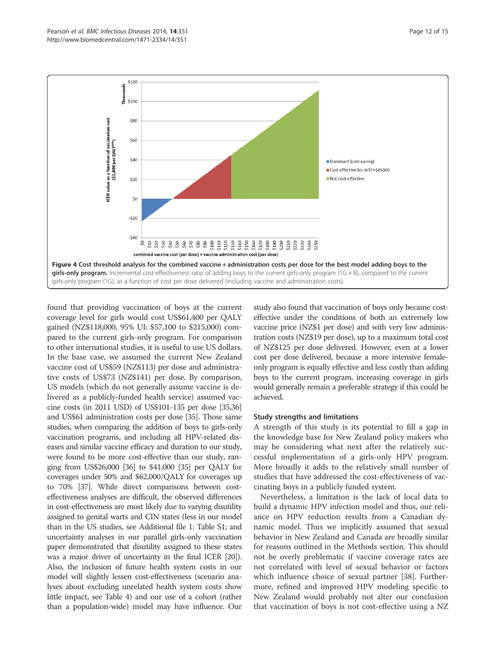

found that providing vaccination of boys at the current coverage level for girls would cost US\$61,400 per QALY gained (NZ\$118,000, 95% UI: \$57,100 to \$215,000) compared to the current girls-only program. For comparison to other international studies, it is useful to use US dollars. In the base case, we assumed the current New Zealand vaccine cost of US\$59 (NZ\$113) per dose and administrative costs of US\$73 (NZ\$141) per dose. By comparison, US models (which do not generally assume vaccine is delivered as a publicly-funded health service) assumed vaccine costs (in 2011 USD) of US\$101-135 per dose [35,36] and US\$61 administration costs per dose [35]. Those same studies, when comparing the addition of boys to girls-only vaccination programs, and including all HPV-related diseases and similar vaccine efficacy and duration to our study, were found to be more cost-effective than our study, ranging from US\$26,000 [36] to \$41,000 [35] per QALY for coverages under 50% and \$62,000/QALY for coverages up to 70% [37]. While direct comparisons between costeffectiveness analyses are difficult, the observed differences in cost-effectiveness are most likely due to varying disutility assigned to genital warts and CIN states (less in our model than in the US studies, see Additional file 1: Table S1; and uncertainty analyses in our parallel girls-only vaccination paper demonstrated that disutility assigned to these states was a major driver of uncertainty in the final ICER [20]). Also, the inclusion of future health system costs in our model will slightly lessen cost-effectiveness (scenario analyses about excluding unrelated health system costs show little impact, see Table 4) and our use of a cohort (rather than a population-wide) model may have influence. Our

study also found that vaccination of boys only became costeffective under the conditions of both an extremely low vaccine price (NZ\$1 per dose) and with very low administration costs (NZ\$19 per dose), up to a maximum total cost of NZ\$125 per dose delivered. However, even at a lower cost per dose delivered, because a more intensive femaleonly program is equally effective and less costly than adding boys to the current program, increasing coverage in girls would generally remain a preferable strategy if this could be achieved.

## Study strengths and limitations

A strength of this study is its potential to fill a gap in the knowledge base for New Zealand policy makers who may be considering what next after the relatively successful implementation of a girls-only HPV program. More broadly it adds to the relatively small number of studies that have addressed the cost-effectiveness of vaccinating boys in a publicly funded system.

Nevertheless, a limitation is the lack of local data to build a dynamic HPV infection model and thus, our reliance on HPV reduction results from a Canadian dynamic model. Thus we implicitly assumed that sexual behavior in New Zealand and Canada are broadly similar for reasons outlined in the Methods section. This should not be overly problematic if vaccine coverage rates are not correlated with level of sexual behavior or factors which influence choice of sexual partner [38]. Furthermore, refined and improved HPV modeling specific to New Zealand would probably not alter our conclusion that vaccination of boys is not cost-effective using a NZ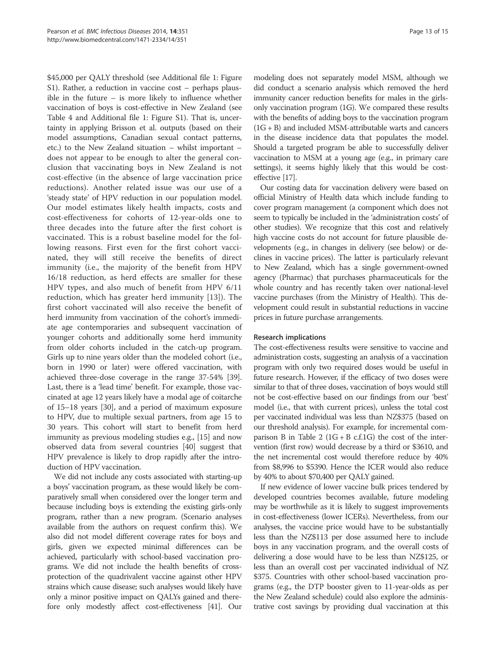\$45,000 per QALY threshold (see Additional file 1: Figure S1). Rather, a reduction in vaccine cost – perhaps plausible in the future – is more likely to influence whether vaccination of boys is cost-effective in New Zealand (see Table 4 and Additional file 1: Figure S1). That is, uncertainty in applying Brisson et al. outputs (based on their model assumptions, Canadian sexual contact patterns, etc.) to the New Zealand situation – whilst important – does not appear to be enough to alter the general conclusion that vaccinating boys in New Zealand is not cost-effective (in the absence of large vaccination price reductions). Another related issue was our use of a 'steady state' of HPV reduction in our population model. Our model estimates likely health impacts, costs and cost-effectiveness for cohorts of 12-year-olds one to three decades into the future after the first cohort is vaccinated. This is a robust baseline model for the following reasons. First even for the first cohort vaccinated, they will still receive the benefits of direct immunity (i.e., the majority of the benefit from HPV 16/18 reduction, as herd effects are smaller for these HPV types, and also much of benefit from HPV 6/11 reduction, which has greater herd immunity [13]). The first cohort vaccinated will also receive the benefit of herd immunity from vaccination of the cohort's immediate age contemporaries and subsequent vaccination of younger cohorts and additionally some herd immunity from older cohorts included in the catch-up program. Girls up to nine years older than the modeled cohort (i.e., born in 1990 or later) were offered vaccination, with achieved three-dose coverage in the range 37-54% [39]. Last, there is a 'lead time' benefit. For example, those vaccinated at age 12 years likely have a modal age of coitarche of 15–18 years [30], and a period of maximum exposure to HPV, due to multiple sexual partners, from age 15 to 30 years. This cohort will start to benefit from herd immunity as previous modeling studies e.g., [15] and now observed data from several countries [40] suggest that HPV prevalence is likely to drop rapidly after the introduction of HPV vaccination.

We did not include any costs associated with starting-up a boys' vaccination program, as these would likely be comparatively small when considered over the longer term and because including boys is extending the existing girls-only program, rather than a new program. (Scenario analyses available from the authors on request confirm this). We also did not model different coverage rates for boys and girls, given we expected minimal differences can be achieved, particularly with school-based vaccination programs. We did not include the health benefits of crossprotection of the quadrivalent vaccine against other HPV strains which cause disease; such analyses would likely have only a minor positive impact on QALYs gained and therefore only modestly affect cost-effectiveness [41]. Our modeling does not separately model MSM, although we did conduct a scenario analysis which removed the herd immunity cancer reduction benefits for males in the girlsonly vaccination program (1G). We compared these results with the benefits of adding boys to the vaccination program  $(1G + B)$  and included MSM-attributable warts and cancers in the disease incidence data that populates the model. Should a targeted program be able to successfully deliver vaccination to MSM at a young age (e.g., in primary care settings), it seems highly likely that this would be costeffective [17].

Our costing data for vaccination delivery were based on official Ministry of Health data which include funding to cover program management (a component which does not seem to typically be included in the 'administration costs' of other studies). We recognize that this cost and relatively high vaccine costs do not account for future plausible developments (e.g., in changes in delivery (see below) or declines in vaccine prices). The latter is particularly relevant to New Zealand, which has a single government-owned agency (Pharmac) that purchases pharmaceuticals for the whole country and has recently taken over national-level vaccine purchases (from the Ministry of Health). This development could result in substantial reductions in vaccine prices in future purchase arrangements.

## Research implications

The cost-effectiveness results were sensitive to vaccine and administration costs, suggesting an analysis of a vaccination program with only two required doses would be useful in future research. However, if the efficacy of two doses were similar to that of three doses, vaccination of boys would still not be cost-effective based on our findings from our 'best' model (i.e., that with current prices), unless the total cost per vaccinated individual was less than NZ\$375 (based on our threshold analysis). For example, for incremental comparison B in Table 2 ( $1G + B$  c.f.1G) the cost of the intervention (first row) would decrease by a third or \$3610, and the net incremental cost would therefore reduce by 40% from \$8,996 to \$5390. Hence the ICER would also reduce by 40% to about \$70,400 per QALY gained.

If new evidence of lower vaccine bulk prices tendered by developed countries becomes available, future modeling may be worthwhile as it is likely to suggest improvements in cost-effectiveness (lower ICERs). Nevertheless, from our analyses, the vaccine price would have to be substantially less than the NZ\$113 per dose assumed here to include boys in any vaccination program, and the overall costs of delivering a dose would have to be less than NZ\$125, or less than an overall cost per vaccinated individual of NZ \$375. Countries with other school-based vaccination programs (e.g., the DTP booster given to 11-year-olds as per the New Zealand schedule) could also explore the administrative cost savings by providing dual vaccination at this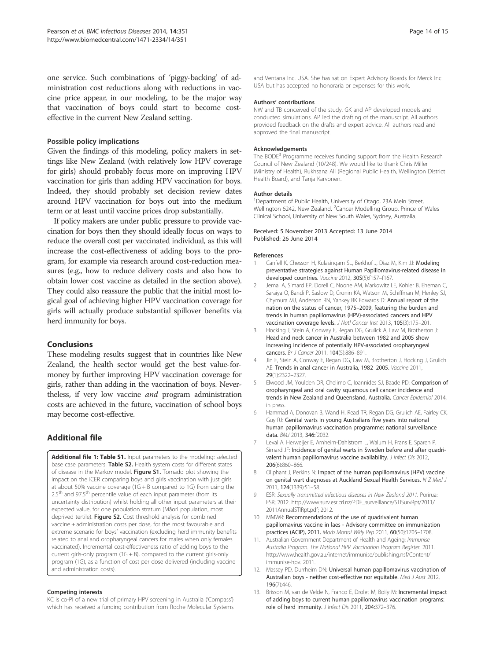one service. Such combinations of 'piggy-backing' of administration cost reductions along with reductions in vaccine price appear, in our modeling, to be the major way that vaccination of boys could start to become costeffective in the current New Zealand setting.

## Possible policy implications

Given the findings of this modeling, policy makers in settings like New Zealand (with relatively low HPV coverage for girls) should probably focus more on improving HPV vaccination for girls than adding HPV vaccination for boys. Indeed, they should probably set decision review dates around HPV vaccination for boys out into the medium term or at least until vaccine prices drop substantially.

If policy makers are under public pressure to provide vaccination for boys then they should ideally focus on ways to reduce the overall cost per vaccinated individual, as this will increase the cost-effectiveness of adding boys to the program, for example via research around cost-reduction measures (e.g., how to reduce delivery costs and also how to obtain lower cost vaccine as detailed in the section above). They could also reassure the public that the initial most logical goal of achieving higher HPV vaccination coverage for girls will actually produce substantial spillover benefits via herd immunity for boys.

## Conclusions

These modeling results suggest that in countries like New Zealand, the health sector would get the best value-formoney by further improving HPV vaccination coverage for girls, rather than adding in the vaccination of boys. Nevertheless, if very low vaccine and program administration costs are achieved in the future, vaccination of school boys may become cost-effective.

## Additional file

Additional file 1: Table S1. Input parameters to the modeling: selected base case parameters. Table S2. Health system costs for different states of disease in the Markov model. Figure S1. Tornado plot showing the impact on the ICER comparing boys and girls vaccination with just girls at about 50% vaccine coverage (1G + B compared to 1G) from using the 2.5<sup>th</sup> and 97.5<sup>th</sup> percentile value of each input parameter (from its uncertainty distribution) whilst holding all other input parameters at their expected value, for one population stratum (Māori population, most deprived tertile). Figure S2. Cost threshold analysis for combined vaccine + administration costs per dose, for the most favourable and extreme scenario for boys' vaccination (excluding herd immunity benefits related to anal and oropharyngeal cancers for males when only females vaccinated). Incremental cost-effectiveness ratio of adding boys to the current girls-only program (1G + B), compared to the current girls-only program (1G), as a function of cost per dose delivered (including vaccine and administration costs).

#### Competing interests

KC is co-PI of a new trial of primary HPV screening in Australia ('Compass') which has received a funding contribution from Roche Molecular Systems

and Ventana Inc. USA. She has sat on Expert Advisory Boards for Merck Inc USA but has accepted no honoraria or expenses for this work.

#### Authors' contributions

NW and TB conceived of the study. GK and AP developed models and conducted simulations. AP led the drafting of the manuscript. All authors provided feedback on the drafts and expert advice. All authors read and approved the final manuscript.

#### Acknowledgements

The BODE<sup>3</sup> Programme receives funding support from the Health Research Council of New Zealand (10/248). We would like to thank Chris Miller (Ministry of Health), Rukhsana Ali (Regional Public Health, Wellington District Health Board), and Tanja Karvonen.

#### Author details

<sup>1</sup>Department of Public Health, University of Otago, 23A Mein Street, Wellington 6242, New Zealand. <sup>2</sup> Cancer Modelling Group, Prince of Wales Clinical School, University of New South Wales, Sydney, Australia.

#### Received: 5 November 2013 Accepted: 13 June 2014 Published: 26 June 2014

#### References

- 1. Canfell K, Chesson H, Kulasingam SL, Berkhof J, Diaz M, Kim JJ: Modeling preventative strategies against Human Papillomavirus-related disease in developed countries. Vaccine 2012, 30S(5):f157–f167.
- 2. Jemal A, Simard EP, Dorell C, Noone AM, Markowitz LE, Kohler B, Eheman C, Saraiya O, Bandi P, Saslow D, Cronin KA, Watson M, Schiffman M, Henley SJ, Chymura MJ, Anderson RN, Yankey BK Edwards D: Annual report of the nation on the status of cancer, 1975–2009, featuring the burden and trends in human papillomavirus (HPV)-associated cancers and HPV vaccination coverage levels. J Natl Cancer Inst 2013, 105(3):175–201.
- 3. Hocking J, Stein A, Conway E, Regan DG, Grulick A, Law M, Brotherton J: Head and neck cancer in Australia between 1982 and 2005 show increasing incidence of potentially HPV-associated oropharyngeal cancers. Br J Cancer 2011, 104(5):886–891.
- 4. Jin F, Stein A, Conway E, Regan DG, Law M, Brotherton J, Hocking J, Grulich AE: Trends in anal cancer in Australia, 1982–2005. Vaccine 2011, 29(1):2322–2327.
- Elwood JM, Youlden DR, Chelimo C, Ioannides SJ, Baade PD: Comparison of oropharyngeal and oral cavity squamous cell cancer incidence and trends in New Zealand and Queensland, Australia. Cancer Epidemiol 2014, in press.
- 6. Hammad A, Donovan B, Wand H, Read TR, Regan DG, Grulich AE, Fairley CK, Guy RJ: Genital warts in young Australians five years into naitonal human papillomavirus vaccination programme: national surveillance data. BMJ 2013, 346:f2032.
- 7. Leval A, Herweijer E, Arnheim-Dahlstrom L, Walum H, Frans E, Sparen P, Simard JF: Incidence of genital warts in Sweden before and after quadrivalent human papillomavirus vaccine availability. J Infect Dis 2012, 206(6):860–866.
- 8. Oliphant J, Perkins N: Impact of the human papillomavirus (HPV) vaccine on genital wart diagnoses at Auckland Sexual Health Services. N Z Med J 2011, 124(1339):51–58.
- 9. ESR: Sexually transmitted infectious diseases in New Zealand 2011. Porirua: ESR; 2012. http://www.surv.esr.cri.nz/PDF\_surveillance/STISurvRpt/2011/ 2011AnnualSTIRpt.pdf; 2012.
- 10. MMWR: Recommendations of the use of quadrivalent human papillomavirus vaccine in laes - Advisory committee on immunization practices (ACIP), 2011. Morb Mortal Wkly Rep 2011, 60(50):1705–1708.
- 11. Australian Government Department of Health and Ageing: Immunise Australia Program. The National HPV Vaccination Program Register. 2011. http://www.health.gov.au/internet/immunise/publishing.nsf/Content/ immunise-hpv. 2011.
- 12. Massey PD, Durrheim DN: Universal human papillomavirus vaccination of Australian boys - neither cost-effective nor equitable. Med J Aust 2012, 196(7):446.
- 13. Brisson M, van de Velde N, Franco E, Drolet M, Boily M: Incremental impact of adding boys to current human papillomavirus vaccination programs: role of herd immunity. J Infect Dis 2011, 204:372–376.